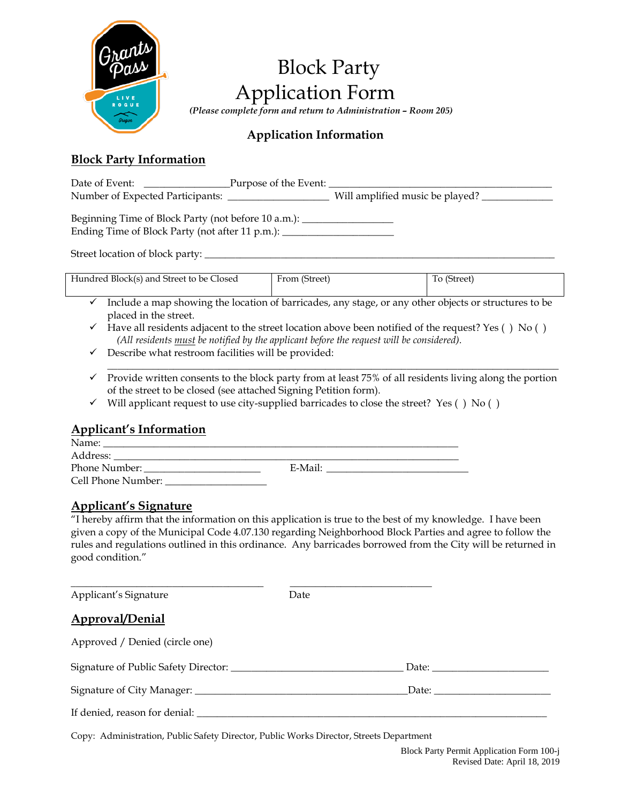

# Block Party Application Form

 *(Please complete form and return to Administration – Room 205)*

# **Application Information**

# **Block Party Information**

| Date of Event:                                       | Purpose of the Event: |                                 |
|------------------------------------------------------|-----------------------|---------------------------------|
| Number of Expected Participants:                     |                       | Will amplified music be played? |
| $\epsilon$ nt in $\epsilon$ is the set of $\epsilon$ |                       |                                 |

Beginning Time of Block Party (not before  $10 \text{ a.m.}$ ): Ending Time of Block Party (not after 11 p.m.): \_\_\_\_\_\_\_\_\_\_\_\_\_\_\_\_\_\_\_\_\_\_\_\_\_\_\_\_\_\_\_\_

Street location of block party:

| Hundred Block(s) and Street to be Closed | From (Street) | To (Street) |
|------------------------------------------|---------------|-------------|
|                                          |               |             |

- $\checkmark$  Include a map showing the location of barricades, any stage, or any other objects or structures to be placed in the street.
- $\checkmark$  Have all residents adjacent to the street location above been notified of the request? Yes () No ()  *(All residents must be notified by the applicant before the request will be considered).*
- $\checkmark$  Describe what restroom facilities will be provided:
- \_\_\_\_\_\_\_\_\_\_\_\_\_\_\_\_\_\_\_\_\_\_\_\_\_\_\_\_\_\_\_\_\_\_\_\_\_\_\_\_\_\_\_\_\_\_\_\_\_\_\_\_\_\_\_\_\_\_\_\_\_\_\_\_\_\_\_\_\_\_\_\_\_\_\_\_\_\_\_\_\_\_\_\_\_\_\_\_\_  $\checkmark$  Provide written consents to the block party from at least 75% of all residents living along the portion of the street to be closed (see attached Signing Petition form).
- $\checkmark$  Will applicant request to use city-supplied barricades to close the street? Yes () No ()

### **Applicant's Information**

| Name:              |         |  |
|--------------------|---------|--|
| Address:           |         |  |
| Phone Number:      | E-Mail: |  |
| Cell Phone Number: |         |  |

### **Applicant's Signature**

"I hereby affirm that the information on this application is true to the best of my knowledge. I have been given a copy of the Municipal Code 4.07.130 regarding Neighborhood Block Parties and agree to follow the rules and regulations outlined in this ordinance. Any barricades borrowed from the City will be returned in good condition."

| Applicant's Signature          | Date |              |
|--------------------------------|------|--------------|
| Approval/Denial                |      |              |
| Approved / Denied (circle one) |      |              |
|                                |      | Date: $\_\_$ |
|                                |      | Date:        |
|                                |      |              |

Copy: Administration, Public Safety Director, Public Works Director, Streets Department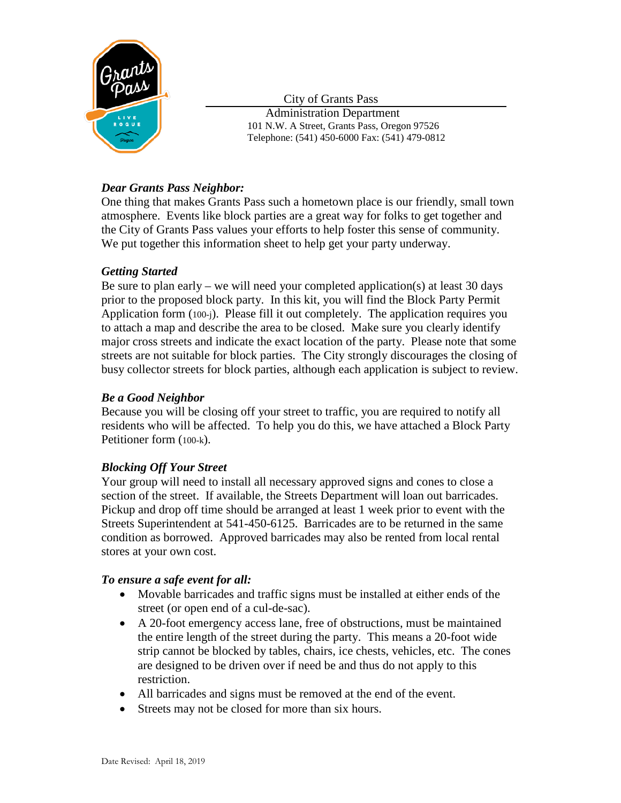

City of Grants Pass

 Administration Department 101 N.W. A Street, Grants Pass, Oregon 97526 Telephone: (541) 450-6000 Fax: (541) 479-0812

# *Dear Grants Pass Neighbor:*

One thing that makes Grants Pass such a hometown place is our friendly, small town atmosphere. Events like block parties are a great way for folks to get together and the City of Grants Pass values your efforts to help foster this sense of community. We put together this information sheet to help get your party underway.

# *Getting Started*

Be sure to plan early – we will need your completed application(s) at least 30 days prior to the proposed block party. In this kit, you will find the Block Party Permit Application form (100-j). Please fill it out completely. The application requires you to attach a map and describe the area to be closed. Make sure you clearly identify major cross streets and indicate the exact location of the party. Please note that some streets are not suitable for block parties. The City strongly discourages the closing of busy collector streets for block parties, although each application is subject to review.

# *Be a Good Neighbor*

Because you will be closing off your street to traffic, you are required to notify all residents who will be affected. To help you do this, we have attached a Block Party Petitioner form (100-k).

### *Blocking Off Your Street*

Your group will need to install all necessary approved signs and cones to close a section of the street. If available, the Streets Department will loan out barricades. Pickup and drop off time should be arranged at least 1 week prior to event with the Streets Superintendent at 541-450-6125. Barricades are to be returned in the same condition as borrowed. Approved barricades may also be rented from local rental stores at your own cost.

### *To ensure a safe event for all:*

- Movable barricades and traffic signs must be installed at either ends of the street (or open end of a cul-de-sac).
- A 20-foot emergency access lane, free of obstructions, must be maintained the entire length of the street during the party. This means a 20-foot wide strip cannot be blocked by tables, chairs, ice chests, vehicles, etc. The cones are designed to be driven over if need be and thus do not apply to this restriction.
- All barricades and signs must be removed at the end of the event.
- Streets may not be closed for more than six hours.